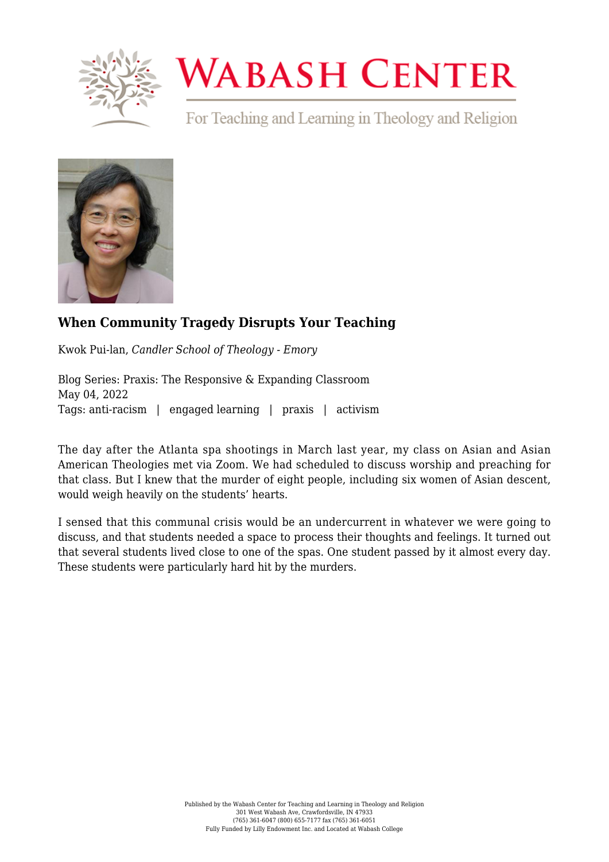

## **WABASH CENTER**

For Teaching and Learning in Theology and Religion



## **[When Community Tragedy Disrupts Your Teaching](https://www.wabashcenter.wabash.edu/2022/05/when-community-tragedy-disrupts-your-teaching/)**

Kwok Pui-lan, *Candler School of Theology - Emory*

Blog Series: Praxis: The Responsive & Expanding Classroom May 04, 2022 Tags: anti-racism | engaged learning | praxis | activism

The day after the Atlanta spa shootings in March last year, my class on Asian and Asian American Theologies met via Zoom. We had scheduled to discuss worship and preaching for that class. But I knew that the murder of eight people, including six women of Asian descent, would weigh heavily on the students' hearts.

I sensed that this communal crisis would be an undercurrent in whatever we were going to discuss, and that students needed a space to process their thoughts and feelings. It turned out that several students lived close to one of the spas. One student passed by it almost every day. These students were particularly hard hit by the murders.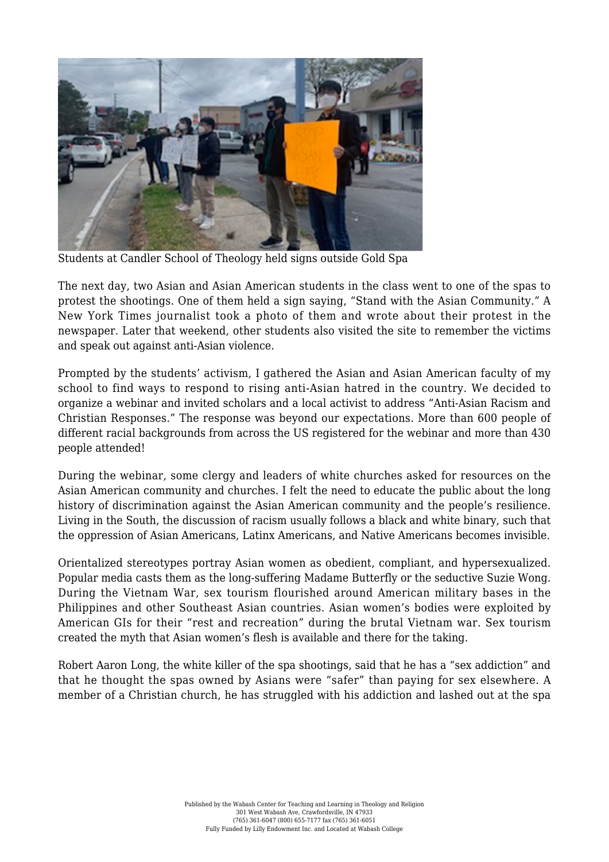

Students at Candler School of Theology held signs outside Gold Spa

The next day, two Asian and Asian American students in the class went to one of the spas to protest the shootings. One of them held a sign saying, "Stand with the Asian Community." A New York Times journalist took a photo of them and wrote about their protest in the newspaper. Later that weekend, other students also visited the site to remember the victims and speak out against anti-Asian violence.

Prompted by the students' activism, I gathered the Asian and Asian American faculty of my school to find ways to respond to rising anti-Asian hatred in the country. We decided to organize a webinar and invited scholars and a local activist to address "Anti-Asian Racism and Christian Responses." The response was beyond our expectations. More than 600 people of different racial backgrounds from across the US registered for the webinar and more than 430 people attended!

During the webinar, some clergy and leaders of white churches asked for resources on the Asian American community and churches. I felt the need to educate the public about the long history of discrimination against the Asian American community and the people's resilience. Living in the South, the discussion of racism usually follows a black and white binary, such that the oppression of Asian Americans, Latinx Americans, and Native Americans becomes invisible.

Orientalized stereotypes portray Asian women as obedient, compliant, and hypersexualized. Popular media casts them as the long-suffering Madame Butterfly or the seductive Suzie Wong. During the Vietnam War, sex tourism flourished around American military bases in the Philippines and other Southeast Asian countries. Asian women's bodies were exploited by American GIs for their "rest and recreation" during the brutal Vietnam war. Sex tourism created the myth that Asian women's flesh is available and there for the taking.

Robert Aaron Long, the white killer of the spa shootings, said that he has a "sex addiction" and that he thought the spas owned by Asians were "safer" than paying for sex elsewhere. A member of a Christian church, he has struggled with his addiction and lashed out at the spa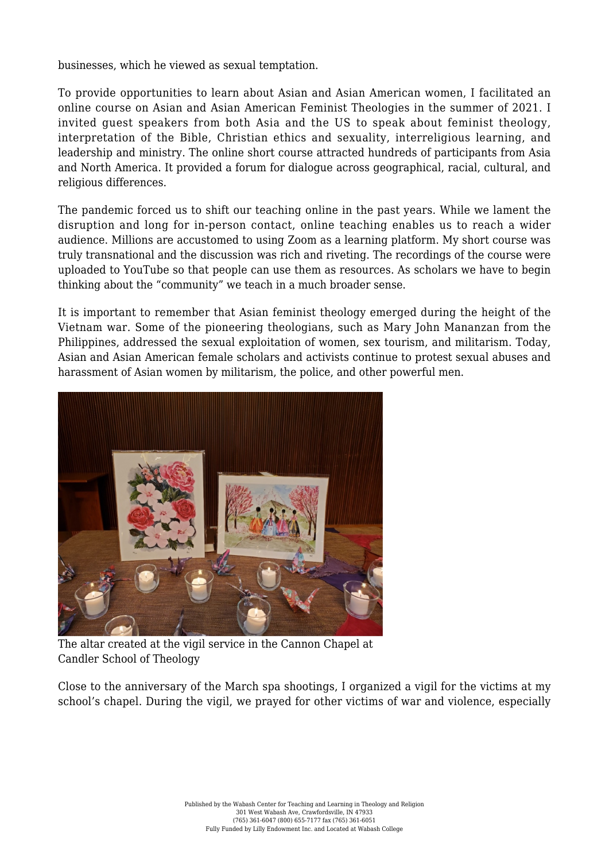businesses, which he viewed as sexual temptation.

To provide opportunities to learn about Asian and Asian American women, I facilitated an online course on Asian and Asian American Feminist Theologies in the summer of 2021. I invited guest speakers from both Asia and the US to speak about feminist theology, interpretation of the Bible, Christian ethics and sexuality, interreligious learning, and leadership and ministry. The online short course attracted hundreds of participants from Asia and North America. It provided a forum for dialogue across geographical, racial, cultural, and religious differences.

The pandemic forced us to shift our teaching online in the past years. While we lament the disruption and long for in-person contact, online teaching enables us to reach a wider audience. Millions are accustomed to using Zoom as a learning platform. My short course was truly transnational and the discussion was rich and riveting. The recordings of the course were uploaded to YouTube so that people can use them as resources. As scholars we have to begin thinking about the "community" we teach in a much broader sense.

It is important to remember that Asian feminist theology emerged during the height of the Vietnam war. Some of the pioneering theologians, such as Mary John Mananzan from the Philippines, addressed the sexual exploitation of women, sex tourism, and militarism. Today, Asian and Asian American female scholars and activists continue to protest sexual abuses and harassment of Asian women by militarism, the police, and other powerful men.



The altar created at the vigil service in the Cannon Chapel at Candler School of Theology

Close to the anniversary of the March spa shootings, I organized a vigil for the victims at my school's chapel. During the vigil, we prayed for other victims of war and violence, especially